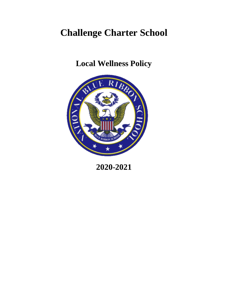# **Challenge Charter School**

**Local Wellness Policy**



**2020-2021**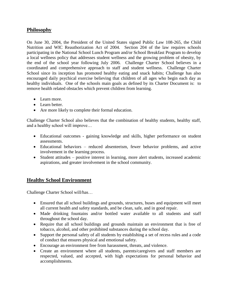#### **Philosophy**

On June 30, 2004, the President of the United States signed Public Law 108-265, the Child Nutrition and WIC Reauthorization Act of 2004. Section 204 of the law requires schools participating in the National School Lunch Program and/or School Breakfast Program to develop a local wellness policy that addresses student wellness and the growing problem of obesity, by the end of the school year following July 2006. Challenge Charter School believes in a coordinated and comprehensive approach to staff and student wellness. Challenge Charter School since its inception has promoted healthy eating and snack habits; Challenge has also encouraged daily psychical exercise believing that children of all ages who begin each day as healthy individuals. One of the schools main goals as defined by its Charter Document is: to remove health related obstacles which prevent children from learning.

- Learn more.
- Learn better.
- Are more likely to complete their formal education.

Challenge Charter School also believes that the combination of healthy students, healthy staff, and a healthy school will improve…

- Educational outcomes gaining knowledge and skills, higher performance on student assessments.
- Educational behaviors reduced absenteeism, fewer behavior problems, and active involvement in the learning process.
- Student attitudes positive interest in learning, more alert students, increased academic aspirations, and greater involvement in the school community.

## **Healthy School Environment**

Challenge Charter School will/has…

- Ensured that all school buildings and grounds, structures, buses and equipment will meet all current health and safety standards, and be clean, safe, and in good repair.
- Made drinking fountains and/or bottled water available to all students and staff throughout the school day.
- Require that all school buildings and grounds maintain an environment that is free of tobacco, alcohol, and other prohibited substances during the school day.
- Support the personal safety of all students by establishing a set of recess rules and a code of conduct that ensures physical and emotional safety.
- Encourage an environment free from harassment, threats, and violence.
- Create an environment where all students, parents/caregivers and staff members are respected, valued, and accepted, with high expectations for personal behavior and accomplishments.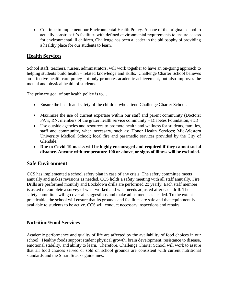• Continue to implement our Environmental Health Policy. As one of the original school to actually construct it's facilities with defined environmental requirements to ensure access for environmental ill children, Challenge has been a leader in the philosophy of providing a healthy place for our students to learn.

# **Health Services**

School staff, teachers, nurses, administrators, will work together to have an on-going approach to helping students build health – related knowledge and skills. Challenge Charter School believes an effective health care policy not only promotes academic achievement, but also improves the mental and physical health of students.

The primary goal of our health policy is to…

- Ensure the health and safety of the children who attend Challenge Charter School.
- Maximize the use of current expertise within our staff and parent community (Doctors; PA's; RN; members of the grater health service community – Diabetes Foundation, etc.)
- Use outside agencies and resources to promote health and wellness for students, families, staff and community, when necessary, such as: Honor Health Services; Mid-Western University Medical School; local fire and paramedic services provided by the City of Glendale.
- **Due to Covid-19 masks will be highly encouraged and required if they cannot social distance. Anyone with temperature 100 or above, or signs of illness will be excluded.**

## **Safe Environment**

CCS has implemented a school safety plan in case of any crisis. The safety committee meets annually and makes revisions as needed. CCS holds a safety meeting with all staff annually. Fire Drills are performed monthly and Lockdown drills are performed 2x yearly. Each staff member is asked to complete a survey of what worked and what needs adjusted after each drill. The safety committee will go over all suggestions and make adjustments as needed. To the extent practicable, the school will ensure that its grounds and facilities are safe and that equipment is available to students to be active. CCS will conduct necessary inspections and repairs.

## **Nutrition/Food Services**

Academic performance and quality of life are affected by the availability of food choices in our school. Healthy foods support student physical growth, brain development, resistance to disease, emotional stability, and ability to learn. Therefore, Challenge Charter School will work to assure that all food choices served or sold on school grounds are consistent with current nutritional standards and the Smart Snacks guidelines.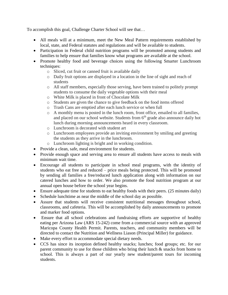To accomplish this goal, Challenge Charter School will see that…

- All meals will at a minimum, meet the New Meal Pattern requirements established by local, state, and Federal statutes and regulations and will be available to students.
- Participation in Federal child nutrition programs will be promoted among students and families to help ensure that families know what programs are available at the school.
- Promote healthy food and beverage choices using the following Smarter Lunchroom techniques:
	- o Sliced, cut fruit or canned fruit is available daily
	- o Daily fruit options are displayed in a location in the line of sight and reach of students
	- o All staff members, especially those serving, have been trained to politely prompt students to consume the daily vegetable options with their meal
	- o White Milk is placed in front of Chocolate Milk
	- o Students are given the chance to give feedback on the food items offered
	- o Trash Cans are emptied after each lunch service or when full
	- o A monthly menu is posted in the lunch room, front office, emailed to all families, and placed on our school website. Students from  $6<sup>th</sup>$  grade also announce daily hot lunch during morning announcements heard in every classroom.
	- o Lunchroom is decorated with student art
	- o Lunchroom employees provide an inviting environment by smiling and greeting the students as they arrive in the lunchroom.
	- o Lunchroom lighting is bright and in working condition.
- Provide a clean, safe, meal environment for students.
- Provide enough space and serving area to ensure all students have access to meals with minimum wait time.
- Encourage all students to participate in school meal programs, with the identity of students who eat free and reduced – price meals being protected. This will be promoted by sending all families a free/reduced lunch application along with information on our catered lunches and how to order. We also promote the food nutrition program at our annual open house before the school year begins.
- Ensure adequate time for students to eat healthy foods with their peers. (25 minutes daily)
- Schedule lunchtime as near the middle of the school day as possible.
- Assure that students will receive consistent nutritional messages throughout school, classrooms, and cafeteria. This will be accomplished by daily announcements to promote and marker food options.
- Ensure that all school celebrations and fundraising efforts are supportive of healthy eating per Arizona Law (ARS 15-242) come from a commercial source with an approved Maricopa County Health Permit. Parents, teachers, and community members will be directed to contact the Nutrition and Wellness Liason (Principal Miller) for guidance.
- Make every effort to accommodate special dietary needs.
- CCS has since its inception defined healthy snacks; lunches; food groups; etc. for our parent community to use for those children who bring their lunch & snacks from home to school. This is always a part of our yearly new student/parent tours for incoming students.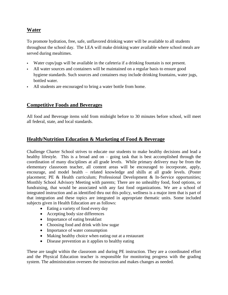# **Water**

To promote hydration, free, safe, unflavored drinking water will be available to all students throughout the school day. The LEA will make drinking water available where school meals are served during mealtimes.

- Water cups/jugs will be available in the cafeteria if a drinking fountain is not present.
- All water sources and containers will be maintained on a regular basis to ensure good hygiene standards. Such sources and containers may include drinking fountains, water jugs, bottled water.
- All students are encouraged to bring a water bottle from home.

#### **Competitive Foods and Beverages**

All food and Beverage items sold from midnight before to 30 minutes before school, will meet all federal, state, and local standards.

## **Health/Nutrition Education & Marketing of Food & Beverage**

Challenge Charter School strives to educate our students to make healthy decisions and lead a healthy lifestyle. This is a broad and on – going task that is best accomplished through the coordination of many disciplines at all grade levels. While primary delivery may be from the elementary classroom teacher, all content areas will be encouraged to incorporate, apply, encourage, and model health – related knowledge and shills at all grade levels. (Poster placement; PE & Health curriculum; Professional Development & In-Service opportunities; Monthly School Advisory Meeting with parents; There are no unhealthy food, food options, or fundraising, that would be associated with any fast food organizations. We are a school of integrated instruction and as identified thru out this policy, wellness is a major item that is part of that integration and these topics are integrated in appropriate thematic units. Some included subjects given in Health Education are as follows:

- Eating a variety of food every day
- Accepting body size differences
- Importance of eating breakfast
- Choosing food and drink with low sugar
- Importance of water consumption
- Making healthy choice when eating out at a restaurant
- Disease prevention as it applies to healthy eating

These are taught within the classroom and during PE instruction. They are a coordinated effort and the Physical Education teacher is responsible for monitoring progress with the grading system. The administration oversees the instruction and makes changes as needed.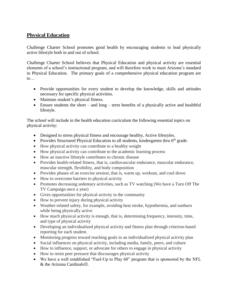# **Physical Education**

Challenge Charter School promotes good health by encouraging students to lead physically active lifestyle both in and out of school.

Challenge Charter School believes that Physical Education and physical activity are essential elements of a school's instructional program, and will therefore work to meet Arizona's standard in Physical Education. The primary goals of a comprehensive physical education program are to…

- Provide opportunities for every student to develop the knowledge, skills and attitudes necessary for specific physical activities.
- Maintain student's physical fitness.
- $\bullet$  Ensure students the short and long term benefits of a physically active and healthful lifestyle.

The school will include in the health education curriculum the following essential topics on physical activity:

- Designed to stress physical fitness and encourage healthy, Active lifestyles.
- Provides Structured Physical Education to all students, kindergarten thru  $6<sup>th</sup>$  grade.
- How physical activity can contribute to a healthy weight
- How physical activity can contribute to the academic learning process
- How an inactive lifestyle contributes to chronic disease
- Provides health-related fitness, that is, cardiovascular endurance, muscular endurance, muscular strength, flexibility, and body composition
- Provides phases of an exercise session, that is, warm up, workout, and cool down
- How to overcome barriers to physical activity
- Promotes decreasing sedentary activities, such as TV watching (We have a Turn Off The TV Campaign once a year)
- Gives opportunities for physical activity in the community
- How to prevent injury during physical activity
- Weather-related safety, for example, avoiding heat stroke, hypothermia, and sunburn while being physically active
- How much physical activity is enough, that is, determining frequency, intensity, time, and type of physical activity
- Developing an individualized physical activity and fitness plan through criterion-based reporting for each student.
- Monitoring progress toward reaching goals in an individualized physical activity plan
- Social influences on physical activity, including media, family, peers, and culture
- How to influence, support, or advocate for others to engage in physical activity
- How to resist peer pressure that discourages physical activity
- We have a well established "Fuel-Up to Play 60" program that is sponsored by the NFL  $&$  the Arizona Cardinals $&$ .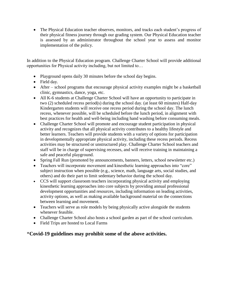• The Physical Education teacher observes, monitors, and tracks each student's progress of their physical fitness journey through our grading system. Our Physical Education teacher is assessed by an administrator throughout the school year to assess and monitor implementation of the policy.

In addition to the Physical Education program. Challenge Charter School will provide additional opportunities for Physical activity including, but not limited to…

- Playground opens daily 30 minutes before the school day begins.
- Field day.
- After school programs that encourage physical activity examples might be a basketball clinic, gymnastics, dance, yoga, etc.
- All K-6 students at Challenge Charter School will have an opportunity to participate in two (2) scheduled recess period(s) during the school day. (at least 60 minutes) Half-day Kindergarten students will receive one recess period during the school day. The lunch recess, whenever possible, will be scheduled before the lunch period, in alignment with best practices for health and well-being including hand washing before consuming meals.
- Challenge Charter School will promote and encourage student participation in physical activity and recognizes that all physical activity contributes to a healthy lifestyle and better learners. Teachers will provide students with a variety of options for participation in developmentally appropriate physical activity, including these recess periods. Recess activities may be structured or unstructured play. Challenge Charter School teachers and staff will be in charge of supervising recesses, and will receive training in maintaining a safe and peaceful playground.
- Spring Fall Run (promoted by announcements, banners, letters, school newsletter etc.)
- Teachers will incorporate movement and kinesthetic learning approaches into "core" subject instruction when possible (e.g., science, math, language arts, social studies, and others) and do their part to limit sedentary behavior during the school day.
- CCS will support classroom teachers incorporating physical activity and employing kinesthetic learning approaches into core subjects by providing annual professional development opportunities and resources, including information on leading activities, activity options, as well as making available background material on the connections between learning and movement.
- Teachers will serve as role models by being physically active alongside the students whenever feasible.
- Challenge Charter School also hosts a school garden as part of the school curriculum.
- Field Trips are hosted to Local Farms

## \***Covid-19 guidelines may prohibit some of the above activities.**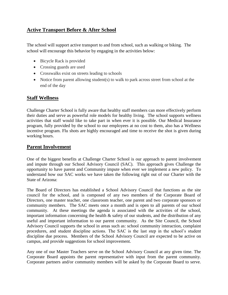# **Active Transport Before & After School**

The school will support active transport to and from school, such as walking or biking. The school will encourage this behavior by engaging in the activities below:

- Bicycle Rack is provided
- Crossing guards are used
- Crosswalks exist on streets leading to schools
- Notice from parent allowing student(s) to walk to park across street from school at the end of the day

#### **Staff Wellness**

Challenge Charter School is fully aware that healthy staff members can more effectively perform their duties and serve as powerful role models for healthy living. The school supports wellness activities that staff would like to take part in when ever it is possible. Our Medical Insurance program, fully provided by the school to our employees at no cost to them, also has a Wellness incentive program. Flu shots are highly encouraged and time to receive the shot is given during working hours.

#### **Parent Involvement**

One of the biggest benefits at Challenge Charter School is our approach to parent involvement and impute through our School Advisory Council (SAC). This approach gives Challenge the opportunity to have parent and Community impute when ever we implement a new policy. To understand how our SAC works we have taken the following right out of our Charter with the State of Arizona:

The Board of Directors has established a School Advisory Council that functions as the site council for the school, and is composed of any two members of the Corporate Board of Directors, one master teacher, one classroom teacher, one parent and two corporate sponsors or community members. The SAC meets once a month and is open to all parents of our school community. At these meetings the agenda is associated with the activities of the school, important information concerning the health & safety of our students, and the distribution of any useful and important information to our parent community. As the Site Council, the School Advisory Council supports the school in areas such as: school community interaction, complaint procedures, and student discipline actions. The SAC is the last step in the school's student discipline due process. Members of the School Advisory Council are expected to be active on campus, and provide suggestions for school improvement.

Any one of our Master Teachers serve on the School Advisory Council at any given time. The Corporate Board appoints the parent representative with input from the parent community. Corporate partners and/or community members will be asked by the Corporate Board to serve.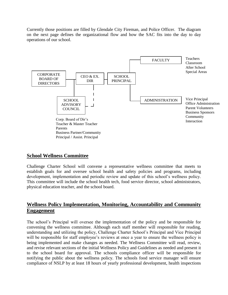Currently those positions are filled by Glendale City Fireman, and Police Officer. The diagram on the next page defines the organizational flow and how the SAC fits into the day to day operations of our school.



#### **School Wellness Committee**

Challenge Charter School will convene a representative wellness committee that meets to establish goals for and oversee school health and safety policies and programs, including development, implementation and periodic review and update of this school's wellness policy. This committee will include the school health tech, food service director, school administrators, physical education teacher, and the school board.

# **Wellness Policy Implementation, Monitoring, Accountability and Community Engagement**

The school's Principal will oversee the implementation of the policy and be responsible for convening the wellness committee. Although each staff member will responsible for reading, understanding and utilizing the policy, Challenge Charter School's Principal and Vice Principal will be responsible for staff employee's reviews at once a year to ensure the wellness policy is being implemented and make changes as needed. The Wellness Committee will read, review, and revise relevant sections of the initial Wellness Policy and Guidelines as needed and present it to the school board for approval. The schools compliance officer will be responsible for notifying the public about the wellness policy. The schools food service manager will ensure compliance of NSLP by at least 18 hours of yearly professional development, health inspections